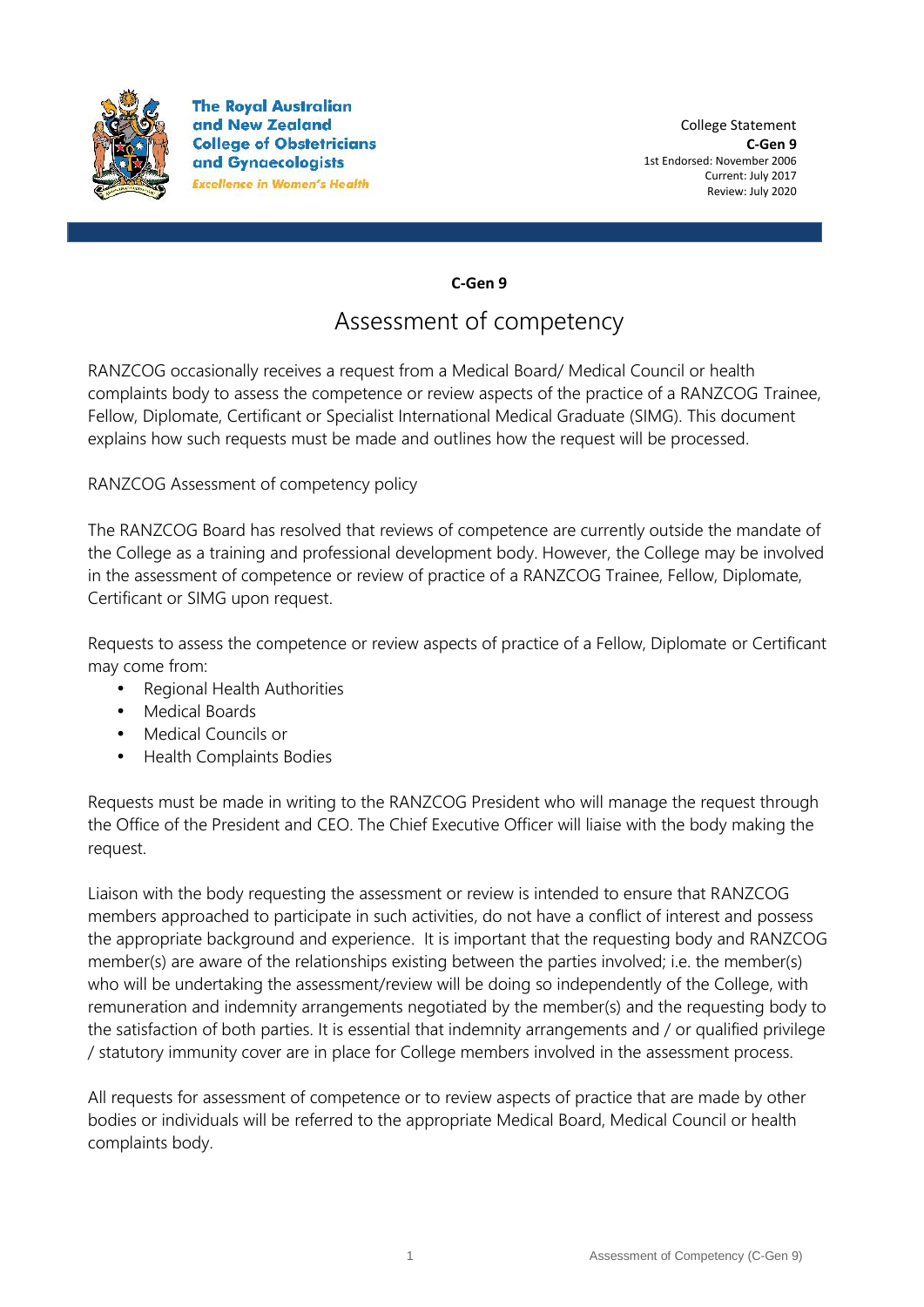

**The Royal Australian** and New Zealand **College of Obstetricians** and Gynaecologists **Excellence in Women's Health** 

**C-Gen 9**

## Assessment of competency

RANZCOG occasionally receives a request from a Medical Board/ Medical Council or health complaints body to assess the competence or review aspects of the practice of a RANZCOG Trainee, Fellow, Diplomate, Certificant or Specialist International Medical Graduate (SIMG). This document explains how such requests must be made and outlines how the request will be processed.

RANZCOG Assessment of competency policy

The RANZCOG Board has resolved that reviews of competence are currently outside the mandate of the College as a training and professional development body. However, the College may be involved in the assessment of competence or review of practice of a RANZCOG Trainee, Fellow, Diplomate, Certificant or SIMG upon request.

Requests to assess the competence or review aspects of practice of a Fellow, Diplomate or Certificant may come from:

- Regional Health Authorities
- Medical Boards
- Medical Councils or
- Health Complaints Bodies

Requests must be made in writing to the RANZCOG President who will manage the request through the Office of the President and CEO. The Chief Executive Officer will liaise with the body making the request.

Liaison with the body requesting the assessment or review is intended to ensure that RANZCOG members approached to participate in such activities, do not have a conflict of interest and possess the appropriate background and experience. It is important that the requesting body and RANZCOG member(s) are aware of the relationships existing between the parties involved; i.e. the member(s) who will be undertaking the assessment/review will be doing so independently of the College, with remuneration and indemnity arrangements negotiated by the member(s) and the requesting body to the satisfaction of both parties. It is essential that indemnity arrangements and / or qualified privilege / statutory immunity cover are in place for College members involved in the assessment process.

All requests for assessment of competence or to review aspects of practice that are made by other bodies or individuals will be referred to the appropriate Medical Board, Medical Council or health complaints body.